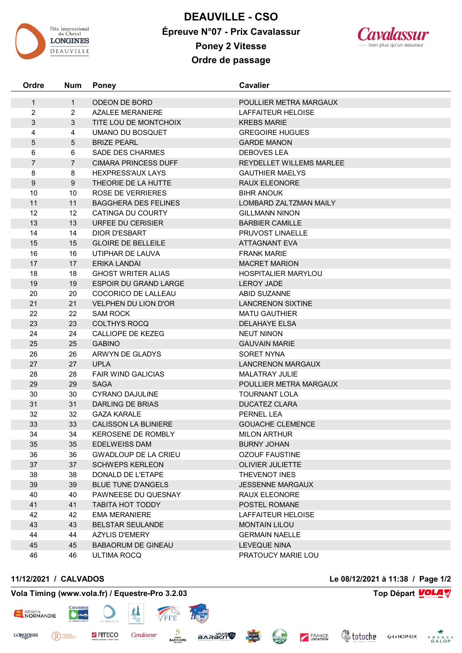

**DEAUVILLE - CSO Épreuve N°07 - Prix Cavalassur Poney 2 Vitesse Ordre de passage**

**Ordre Num Poney Cavalier**

1 1 ODEON DE BORD POULLIER METRA MARGAUX

2 2 AZALEE MERANIERE LAFFAITEUR HELOISE



3 3 TITE LOU DE MONTCHOIX KREBS MARIE 4 4 UMANO DU BOSQUET GREGOIRE HUGUES 5 5 BRIZE PEARL GARDE MANON 6 6 SADE DES CHARMES DEBOVES LEA 7 7 CIMARA PRINCESS DUFF REYDELLET WILLEMS MARLEE 8 8 HEXPRESS'AUX LAYS GAUTHIER MAELYS 9 9 THEORIE DE LA HUTTE RAUX ELEONORE 10 10 ROSE DE VERRIERES BIHR ANOUK 11 11 BAGGHERA DES FELINES LOMBARD ZALTZMAN MAILY 12 12 CATINGA DU COURTY GILLMANN NINON 13 13 URFEE DU CERISIER **13** BARBIER CAMILLE 14 14 DIOR D'ESBART PRUVOST LINAELLE 15 15 GLOIRE DE BELLEILE ATTAGNANT EVA 16 16 UTIPHAR DE LAUVA **FRANK MARIE** 17 17 ERIKA LANDAI 17 MACRET MARION 18 18 GHOST WRITER ALIAS THE SEPARATE HOSPITALIER MARYLOU 19 19 ESPOIR DU GRAND LARGE LEROY JADE 20 20 COCORICO DE LALLEAU ABID SUZANNE 21 21 VELPHEN DU LION D'OR LANCRENON SIXTINE 22 22 SAM ROCK MATU GAUTHIER 23 23 COLTHYS ROCQ DELAHAYE ELSA 24 24 CALLIOPE DE KEZEG NEUT NINON 25 25 GABINO GAUVAIN MARIE 26 26 ARWYN DE GLADYS SORET NYNA 27 27 UPLA LANCRENON MARGAUX 28 28 FAIR WIND GALICIAS MALATRAY JULIE 29 29 SAGA POULLIER METRA MARGAUX 30 30 CYRANO DAJULINE TOURNANT LOLA 31 31 DARLING DE BRIAS DUCATEZ CLARA 32 32 GAZA KARALE PERNEL LEA 33 33 CALISSON LA BLINIERE GOUACHE CLEMENCE 34 34 KEROSENE DE ROMBLY MILON ARTHUR 35 35 EDELWEISS DAM BURNY JOHAN 36 36 GWADLOUP DE LA CRIEU OZOUF FAUSTINE 37 37 SCHWEPS KERLEON OLIVIER JULIETTE 38 38 DONALD DE L'ETAPE THEVENOT INES 39 39 BLUE TUNE D'ANGELS JESSENNE MARGAUX 40 40 PAWNEESE DU QUESNAY RAUX ELEONORE 41 41 TABITA HOT TODDY POSTEL ROMANE 42 EMA MERANIERE LAFFAITEUR HELOISE 43 43 BELSTAR SEULANDE MONTAIN LILOU 44 44 AZYLIS D'EMERY GERMAIN NAELLE 45 BABAORUM DE GINEAU LEVEQUE NINA

<sup>PIERRE</sup>

**ESSENT REGION** 

**LONGINES** 

**Vola Timing (www.vola.fr) / Equestre-Pro 3.2.03 Top Départ Top Départ VOLA** 

**EITECO** 

**Cavalassur** 

46 46 ULTIMA ROCQ PRATOUCY MARIE LOU

**BARRIERE** 

**STÖERAB** 

CLEAN

**11/12/2021 / CALVADOS Le 08/12/2021 à 11:38 / Page 1/2**